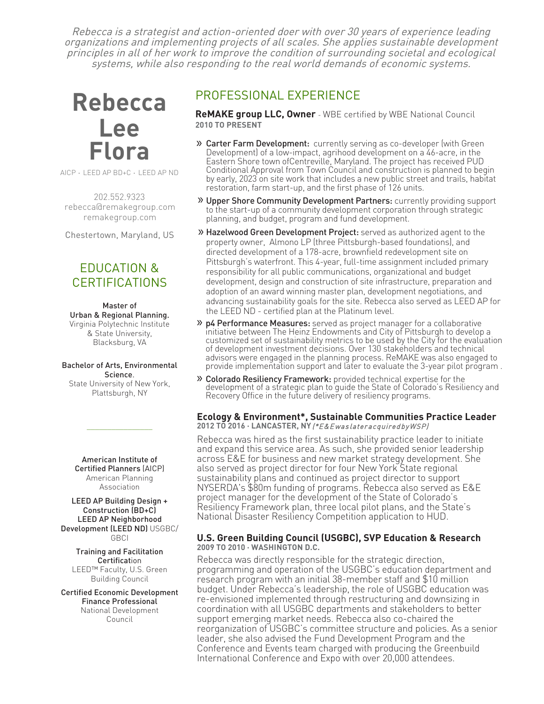Rebecca is a strategist and action-oriented doer with over 30 years of experience leading organizations and implementing projects of all scales. She applies sustainable development principles in all of her work to improve the condition of surrounding societal and ecological systems, while also responding to the real world demands of economic systems.

# **Rebecca Lee Flora**

AICP · LEED AP BD+C · LEED AP ND

202.552.9323 rebecca@remakegroup.com [remakegroup.com](https://www.remakegroup.com)

Chestertown, Maryland, US

## EDUCATION & CERTIFICATIONS

Master of Urban & Regional Planning. Virginia Polytechnic Institute & State University, Blacksburg, VA

Bachelor of Arts, Environmental Science. State University of New York, Plattsburgh, NY

> American Institute of Certified Planners (AICP) American Planning Association

 $\mathcal{L}$  , we have the set of the set of the set of the set of the set of the set of the set of the set of the set of the set of the set of the set of the set of the set of the set of the set of the set of the set of the

#### LEED AP Building Design + Construction (BD+C) LEED AP Neighborhood Development (LEED ND) USGBC/ **GBCI**

Training and Facilitation **Certification** LEED™ Faculty, U.S. Green Building Council

Certified Economic Development Finance Professional National Development Council

## PROFESSIONAL EXPERIENCE

**ReMAKE g[roup](https://www.remakegroup.com) LLC, Owner** - WBE certified by [WBE National Council](https://www.wbenc.org) **2010 TO PRESENT**

- » [Carter Farm Development:](https://www.carterfarmagrihood.com) currently serving as co-developer (with Green Development) of a low-impact, agrihood development on a 46-acre, in the Eastern Shore town ofCentreville, Maryland. The project has received PUD Conditional Approval from Town Council and construction is planned to begin by early, 2023 on site work that includes a new public street and trails, habitat restoration, farm start-up, and the first phase of 126 units.
- **» [Upper Shore Community Development Partners:](https://uscdp.org)** currently providing support to the start-up of a community development corporation through strategic planning, and budget, program and fund development.
- » Hazelwood Green [Development Project](https://www.hazelwoodgreen.com): served as authorized agent to the property owner, Almono LP (three Pittsburgh-based foundations), and directed development of a 178-acre, brownfield redevelopment site on Pittsburgh's waterfront. This 4-year, full-time assignment included primary responsibility for all public communications, organizational and budget development, design and construction of site infrastructure, preparation and adoption of an award winning master plan, development negotiations, and advancing sustainability goals for the site. Rebecca also served as LEED AP for the LEED ND - certified plan at the Platinum level.
- » [p4 Performance](http://www.p4pittsburgh.org/pages/performance) Measures: served as project manager for a collaborative initiative between The Heinz Endowments and City of Pittsburgh to develop a customized set of sustainability metrics to be used by the City for the evaluation of development investment decisions. Over 130 stakeholders and technical advisors were engaged in the planning process. ReMAKE was also engaged to provide implementation support and later to evaluate the 3-year pilot program .
- » [Colorado Resiliency](https://www.coresiliency.com) Framework: provided technical expertise for the development of a strategic plan to quide the State of Colorado's Resiliency and Recovery Office in the [future delivery of resiliency programs.](https://www.coresiliency.com)

#### **Ecology & Environment\*, Sustainable Communities Practice Leader 2012 TO 2016 · LANCASTER, NY**(\*E&E was later acquired by WSP)

Rebecca was hired as the first sustainability practice leader to initiate and expand this service area. As such, she provided senior leadership across E&E for business and new market strategy development. She also served as project director for four New York State regional sustainability plans and continued as project director to support NYSERDA's \$80m funding of programs. Rebecca also served as E&E project manager for the development of the State of Colorado's Resiliency Framework plan, three local pilot plans, and the State's National Disaster Resiliency Competition application to HUD.

#### **U.S. Green Building Council (USGBC), SVP Education & Research 2009 TO 2010 · WASHINGTON D.C.**

Rebecca was directly responsible for the strategic direction, programming and operation of the USGBC's education department and research program with an initial 38-member staff and \$10 million budget. Under Rebecca's leadership, the role of USGBC education was re-envisioned implemented through restructuring and downsizing in coordination with all USGBC departments and stakeholders to better support emerging market needs. Rebecca also co-chaired the reorganization of USGBC's committee structure and policies. As a senior leader, she also advised the Fund Development Program and the Conference and Events team charged with producing the Greenbuild International Conference and Expo with over 20,000 attendees.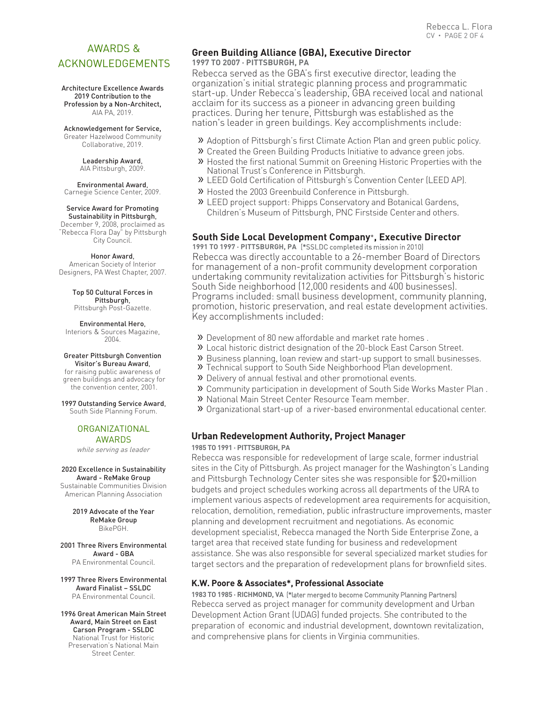## AWARDS & ACKNOWLEDGEMENTS

Architecture Excellence Awards 2019 Contribution to the Profession by a Non-Architect, AIA PA, 2019.

#### Acknowledgement for Service,

Greater Hazelwood Community Collaborative, 2019.

> Leadership Award, AIA Pittsburgh, 2009.

Environmental Award, Carnegie Science Center, 2009.

#### Service Award for Promoting

Sustainability in Pittsburgh, December 9, 2008, proclaimed as "Rebecca Flora Day" by Pittsburgh City Council.

Honor Award, American Society of Interior Designers, PA West Chapter, 2007.

> Top 50 Cultural Forces in Pittsburgh, Pittsburgh Post-Gazette.

#### Environmental Hero,

Interiors & Sources Magazine, 2004.

### Greater Pittsburgh Convention

Visitor's Bureau Award, for raising public awareness of green buildings and advocacy for the convention center, 2001.

1997 Outstanding Service Award,

South Side Planning Forum.

#### ORGANIZATIONAL AWARDS

while serving as leader

#### 2020 Excellence in Sustainability Award - ReMake Group

Sustainable Communities Division American Planning Association

> 2019 Advocate of the Year ReMake Group BikePGH.

#### 2001 Three Rivers Environmental Award - GBA

PA Environmental Council.

1997 Three Rivers Environmental Award Finalist – SSLDC PA Environmental Council.

1996 Great American Main Street Award, Main Street on East Carson Program - SSLDC National Trust for Historic Preservation's National Main Street Center.

#### **Green Building Alliance (GBA), Executive Director 1997 TO 2007 · PITTSBURGH, PA**

Rebecca served as the GBA's first executive director, leading the organization's initial strategic planning process and programmatic start-up. Under Rebecca's leadership, GBA received local and national acclaim for its success as a pioneer in advancing green building practices. During her tenure, Pittsburgh was established as the nation's leader in green buildings. Key accomplishments include:

» Adoption of Pittsburgh's first Climate Action Plan and green public policy.

- » Created the Green Building Products Initiative to advance green jobs.
- » Hosted the first national Summit on Greening Historic Properties with the National Trust's Conference in Pittsburgh.
- » LEED Gold Certification of Pittsburgh's Convention Center (LEED AP).
- » Hosted the 2003 Greenbuild Conference in Pittsburgh.
- » LEED project support: Phipps Conservatory and Botanical Gardens, Children's Museum of Pittsburgh, PNC Firstside Center and others.

#### **South Side Local Development Company**\***, Executive Director**

**1991 TO 1997 · PITTSBURGH, PA** (\*SSLDC completed its mission in 2010) Rebecca was directly accountable to a 26-member Board of Directors for management of a non-profit community development corporation undertaking community revitalization activities for Pittsburgh's historic South Side neighborhood (12,000 residents and 400 businesses). Programs included: small business development, community planning, promotion, historic preservation, and real estate development activities. Key accomplishments included:

- » Development of 80 new affordable and market rate homes .
- » Local historic district designation of the 20-block East Carson Street.
- » Business planning, loan review and start-up support to small businesses.
- » Technical support to South Side Neighborhood Plan development.
- » Delivery of annual festival and other promotional events.
- » Community participation in development of South Side Works Master Plan .
- » National Main Street Center Resource Team member.
- » <sup>O</sup>rganizational start-up of a river-based environmental educational center.

#### **Urban Redevelopment Authority, Project Manager**

**1985 TO 1991 · PITTSBURGH, PA**

Rebecca was responsible for redevelopment of large scale, former industrial sites in the City of Pittsburgh. As project manager for the Washington's Landing and Pittsburgh Technology Center sites she was responsible for \$20+million budgets and project schedules working across all departments of the URA to implement various aspects of redevelopment area requirements for acquisition, relocation, demolition, remediation, public infrastructure improvements, master planning and development recruitment and negotiations. As economic development specialist, Rebecca managed the North Side Enterprise Zone, a target area that received state funding for business and redevelopment assistance. She was also responsible for several specialized market studies for target sectors and the preparation of redevelopment plans for brownfield sites.

#### **K.W. Poore & Associates\*, Professional Associate**

**1983 TO 1985 · RICHMOND, VA** (\*later merged to become Community Planning Partners) Rebecca served as project manager for community development and Urban Development Action Grant (UDAG) funded projects. She contributed to the preparation of economic and industrial development, downtown revitalization, and comprehensive plans for clients in Virginia communities.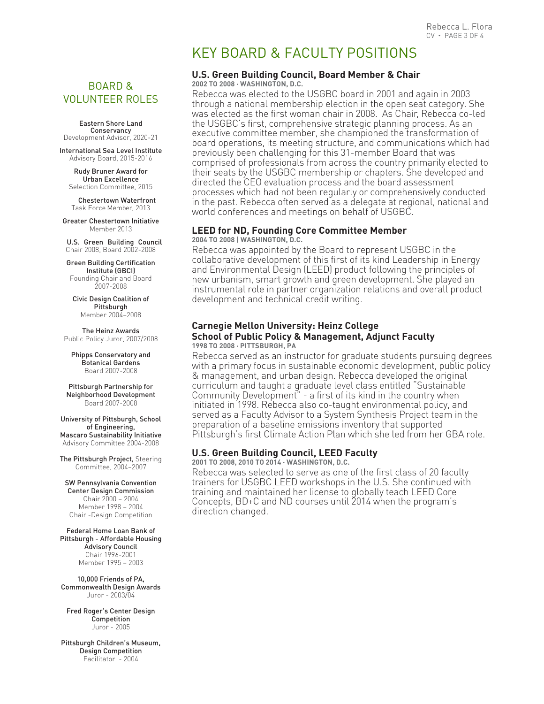## BOARD & VOLUNTEER ROLES

Eastern Shore Land **Conservancy**<br>Development Advisor, 2020-21

International Sea Level Institute Advisory Board, 2015-2016

Rudy Bruner Award for Urban Excellence Selection Committee, 2015

Chestertown Waterfront Task Force Member, 2013

Greater Chestertown Initiative Member 2013

U.S. Green Building Council Chair 2008, Board 2002-2008

Green Building Certification Institute (GBCI) Founding Chair and Board 2007-2008

Civic Design Coalition of Pittsburgh Member 2004–2008

The Heinz Awards Public Policy Juror, 2007/2008

Phipps Conservatory and Botanical Gardens Board 2007-2008

Pittsburgh Partnership for Neighborhood Development Board 2007-2008

University of Pittsburgh, School of Engineering, Mascaro Sustainability Initiative Advisory Committee 2004-2008

The Pittsburgh Project, Steering Committee, 2004–2007

SW Pennsylvania Convention Center Design Commission Chair 2000 – 2004 Member 1998 – 2004 Chair -Design Competition

Federal Home Loan Bank of Pittsburgh - Affordable Housing Advisory Council Chair 1996-2001 Member 1995 – 2003

10,000 Friends of PA, Commonwealth Design Awards Juror - 2003/04

Fred Roger's Center Design Competition Juror - 2005

Pittsburgh Children's Museum, Design Competition Facilitator - 2004

## KEY BOARD & FACULTY POSITIONS

## **U.S. Green Building Council, Board Member & Chair**

**2002 TO 2008 · WASHINGTON, D.C.**

Rebecca was elected to the USGBC board in 2001 and again in 2003 through a national membership election in the open seat category. She was elected as the first woman chair in 2008. As Chair, Rebecca co-led the USGBC's first, comprehensive strategic planning process. As an executive committee member, she championed the transformation of board operations, its meeting structure, and communications which had previously been challenging for this 31-member Board that was comprised of professionals from across the country primarily elected to their seats by the USGBC membership or chapters. She developed and directed the CEO evaluation process and the board assessment processes which had not been regularly or comprehensively conducted in the past. Rebecca often served as a delegate at regional, national and world conferences and meetings on behalf of USGBC.

#### **LEED for ND, Founding Core Committee Member 2004 TO 2008 | WASHINGTON, D.C.**

Rebecca was appointed by the Board to represent USGBC in the collaborative development of this first of its kind Leadership in Energy and Environmental Design (LEED) product following the principles of new urbanism, smart growth and green development. She played an instrumental role in partner organization relations and overall product development and technical credit writing.

#### **Carnegie Mellon University: Heinz College School of Public Policy & Management, Adjunct Faculty 1998 TO 2008 · PITTSBURGH, PA**

Rebecca served as an instructor for graduate students pursuing degrees with a primary focus in sustainable economic development, public policy & management, and urban design. Rebecca developed the original curriculum and taught a graduate level class entitled "Sustainable Community Development" - a first of its kind in the country when initiated in 1998. Rebecca also co-taught environmental policy, and served as a Faculty Advisor to a System Synthesis Project team in the preparation of a baseline emissions inventory that supported Pittsburgh's first Climate Action Plan which she led from her GBA role.

### **U.S. Green Building Council, LEED Faculty**

**2001 TO 2008, 2010 TO 2014 · WASHINGTON, D.C.**

Rebecca was selected to serve as one of the first class of 20 faculty trainers for USGBC LEED workshops in the U.S. She continued with training and maintained her license to globally teach LEED Core Concepts, BD+C and ND courses until 2014 when the program's direction changed.